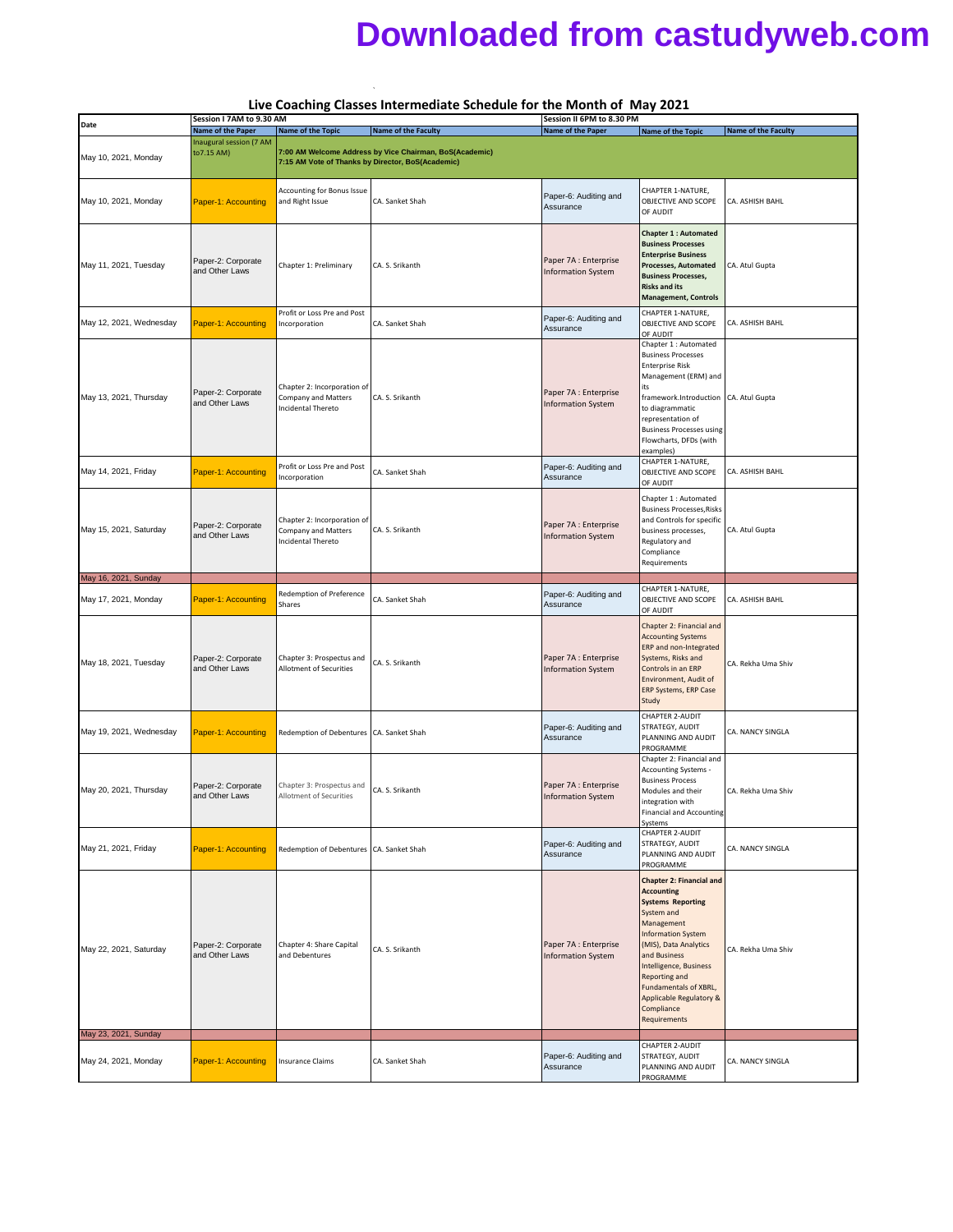## **Downloaded from castudyweb.com**

|                         | Live Coaching Classes Intermediate Schedule for the Month of May 2021<br>Session I 7AM to 9.30 AM<br>Session II 6PM to 8.30 PM |                                                                                 |                                                         |                                                    |                                                                                                                                                                                                                                                                                                                 |                     |
|-------------------------|--------------------------------------------------------------------------------------------------------------------------------|---------------------------------------------------------------------------------|---------------------------------------------------------|----------------------------------------------------|-----------------------------------------------------------------------------------------------------------------------------------------------------------------------------------------------------------------------------------------------------------------------------------------------------------------|---------------------|
| Date                    | Name of the Paper                                                                                                              | <b>Name of the Topic</b>                                                        | <b>Name of the Faculty</b>                              | Name of the Paper                                  | <b>Name of the Topic</b>                                                                                                                                                                                                                                                                                        | Name of the Faculty |
| May 10, 2021, Monday    | Inaugural session (7 AM<br>to7.15 AM)                                                                                          | 7:15 AM Vote of Thanks by Director, BoS(Academic)                               | 7:00 AM Welcome Address by Vice Chairman, BoS(Academic) |                                                    |                                                                                                                                                                                                                                                                                                                 |                     |
| May 10, 2021, Monday    | Paper-1: Accounting                                                                                                            | <b>Accounting for Bonus Issue</b><br>and Right Issue                            | CA. Sanket Shah                                         | Paper-6: Auditing and<br>Assurance                 | CHAPTER 1-NATURE,<br>OBJECTIVE AND SCOPE<br>OF AUDIT                                                                                                                                                                                                                                                            | CA. ASHISH BAHL     |
| May 11, 2021, Tuesday   | Paper-2: Corporate<br>and Other Laws                                                                                           | Chapter 1: Preliminary                                                          | CA. S. Srikanth                                         | Paper 7A : Enterprise<br><b>Information System</b> | <b>Chapter 1 : Automated</b><br><b>Business Processes</b><br><b>Enterprise Business</b><br>Processes, Automated<br><b>Business Processes,</b><br><b>Risks and its</b><br><b>Management, Controls</b>                                                                                                            | CA. Atul Gupta      |
| May 12, 2021, Wednesday | Paper-1: Accounting                                                                                                            | Profit or Loss Pre and Post<br>Incorporation                                    | CA. Sanket Shah                                         | Paper-6: Auditing and<br>Assurance                 | CHAPTER 1-NATURE,<br>OBJECTIVE AND SCOPE<br>OF AUDIT                                                                                                                                                                                                                                                            | CA. ASHISH BAHL     |
| May 13, 2021, Thursday  | Paper-2: Corporate<br>and Other Laws                                                                                           | Chapter 2: Incorporation of<br><b>Company and Matters</b><br>Incidental Thereto | CA. S. Srikanth                                         | Paper 7A : Enterprise<br><b>Information System</b> | Chapter 1 : Automated<br><b>Business Processes</b><br><b>Enterprise Risk</b><br>Management (ERM) and<br>its<br>framework.Introduction CA. Atul Gupta<br>to diagrammatic<br>representation of<br><b>Business Processes using</b><br>Flowcharts, DFDs (with<br>examples)                                          |                     |
| May 14, 2021, Friday    | Paper-1: Accounting                                                                                                            | Profit or Loss Pre and Post<br>Incorporation                                    | CA. Sanket Shah                                         | Paper-6: Auditing and<br>Assurance                 | CHAPTER 1-NATURE,<br>OBJECTIVE AND SCOPE<br>OF AUDIT                                                                                                                                                                                                                                                            | CA. ASHISH BAHL     |
| May 15, 2021, Saturday  | Paper-2: Corporate<br>and Other Laws                                                                                           | Chapter 2: Incorporation of<br><b>Company and Matters</b><br>Incidental Thereto | CA. S. Srikanth                                         | Paper 7A : Enterprise<br><b>Information System</b> | Chapter 1 : Automated<br><b>Business Processes, Risks</b><br>and Controls for specific<br>business processes,<br>Regulatory and<br>Compliance<br>Requirements                                                                                                                                                   | CA. Atul Gupta      |
| May 16, 2021, Sunday    |                                                                                                                                |                                                                                 |                                                         |                                                    |                                                                                                                                                                                                                                                                                                                 |                     |
| May 17, 2021, Monday    | Paper-1: Accounting                                                                                                            | Redemption of Preference<br>Shares                                              | CA. Sanket Shah                                         | Paper-6: Auditing and<br>Assurance                 | CHAPTER 1-NATURE,<br>OBJECTIVE AND SCOPE<br>OF AUDIT                                                                                                                                                                                                                                                            | CA. ASHISH BAHL     |
| May 18, 2021, Tuesday   | Paper-2: Corporate<br>and Other Laws                                                                                           | Chapter 3: Prospectus and<br>Allotment of Securities                            | CA. S. Srikanth                                         | Paper 7A : Enterprise<br><b>Information System</b> | Chapter 2: Financial and<br><b>Accounting Systems</b><br>ERP and non-Integrated<br>Systems, Risks and<br>Controls in an ERP<br>Environment, Audit of<br>ERP Systems, ERP Case<br>Study                                                                                                                          | CA. Rekha Uma Shiv  |
| May 19, 2021, Wednesday | Paper-1: Accounting                                                                                                            | Redemption of Debentures CA. Sanket Shah                                        |                                                         | Paper-6: Auditing and<br>Assurance                 | <b>CHAPTER 2-AUDIT</b><br>STRATEGY, AUDIT<br>PLANNING AND AUDIT<br>PROGRAMME                                                                                                                                                                                                                                    | CA. NANCY SINGLA    |
| May 20, 2021, Thursday  | Paper-2: Corporate<br>and Other Laws                                                                                           | Chapter 3: Prospectus and<br>Allotment of Securities                            | CA. S. Srikanth                                         | Paper 7A : Enterprise<br><b>Information System</b> | Chapter 2: Financial and<br>Accounting Systems -<br><b>Business Process</b><br>Modules and their<br>integration with<br><b>Financial and Accounting</b><br>Systems                                                                                                                                              | CA. Rekha Uma Shiv  |
| May 21, 2021, Friday    | Paper-1: Accounting                                                                                                            | Redemption of Debentures CA. Sanket Shah                                        |                                                         | Paper-6: Auditing and<br>Assurance                 | CHAPTER 2-AUDIT<br>STRATEGY, AUDIT<br>PLANNING AND AUDIT<br>PROGRAMME                                                                                                                                                                                                                                           | CA. NANCY SINGLA    |
| May 22, 2021, Saturday  | Paper-2: Corporate<br>and Other Laws                                                                                           | Chapter 4: Share Capital<br>and Debentures                                      | CA. S. Srikanth                                         | Paper 7A : Enterprise<br><b>Information System</b> | <b>Chapter 2: Financial and</b><br><b>Accounting</b><br><b>Systems Reporting</b><br>System and<br>Management<br><b>Information System</b><br>(MIS), Data Analytics<br>and Business<br>Intelligence, Business<br>Reporting and<br>Fundamentals of XBRL,<br>Applicable Regulatory &<br>Compliance<br>Requirements | CA. Rekha Uma Shiv  |
| May 23, 2021, Sunday    |                                                                                                                                |                                                                                 |                                                         |                                                    | CHAPTER 2-AUDIT                                                                                                                                                                                                                                                                                                 |                     |
| May 24, 2021, Monday    | Paper-1: Accounting                                                                                                            | Insurance Claims                                                                | CA. Sanket Shah                                         | Paper-6: Auditing and<br>Assurance                 | STRATEGY, AUDIT<br>PLANNING AND AUDIT<br>PROGRAMME                                                                                                                                                                                                                                                              | CA. NANCY SINGLA    |